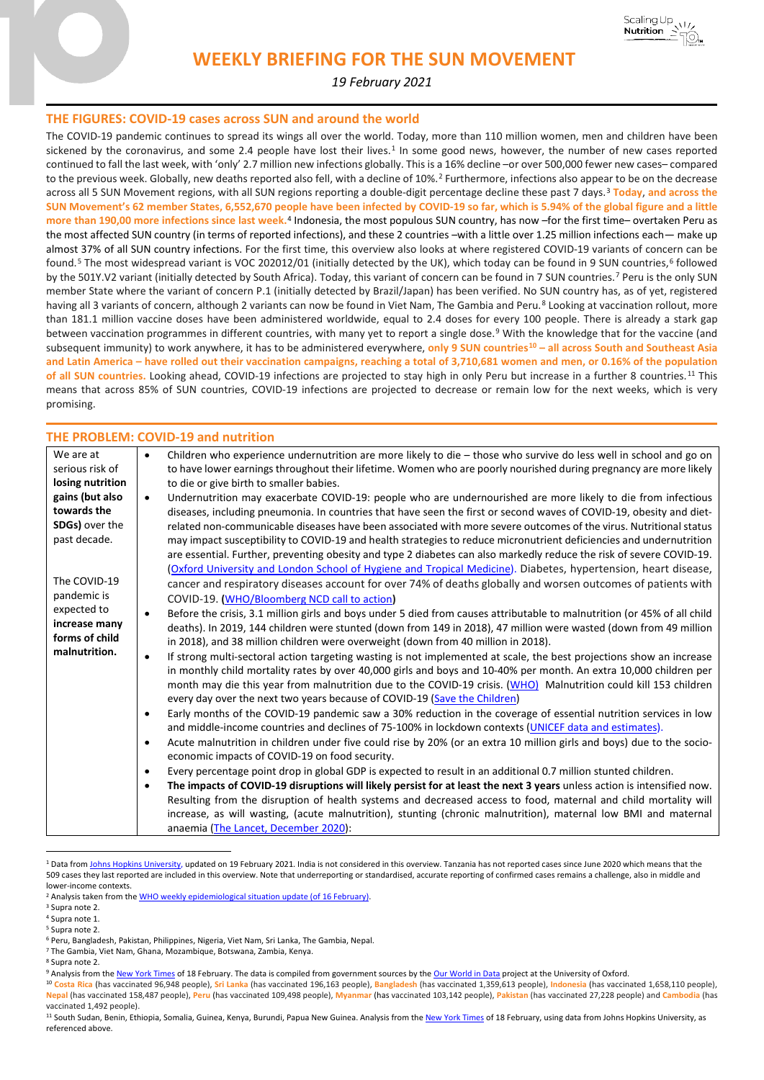

Scaling Up

**Nutrition** 

 $\sqrt{17}$ 

*19 February 2021*

## **THE FIGURES: COVID-19 cases across SUN and around the world**

The COVID-19 pandemic continues to spread its wings all over the world. Today, more than 110 million women, men and children have been sickened by the coronavirus, and some 2.4 people have lost their lives.<sup>[1](#page-0-0)</sup> In some good news, however, the number of new cases reported continued to fall the last week, with 'only' 2.7 million new infections globally. This is a 16% decline –or over 500,000 fewer new cases– compared to the previous week. Globally, new deaths reported also fell, with a decline of 10%.<sup>[2](#page-0-1)</sup> Furthermore, infections also appear to be on the decrease across all 5 SUN Movement regions, with all SUN regions reporting a double-digit percentage decline these past 7 days.[3](#page-0-2) **Today**, **and across the SUN Movement's 62 member States, 6,552,670 people have been infected by COVID-19 so far, which is 5.94% of the global figure and a little more than 190,00 more infections since last week.**[4](#page-0-3) Indonesia, the most populous SUN country, has now –for the first time– overtaken Peru as the most affected SUN country (in terms of reported infections), and these 2 countries –with a little over 1.25 million infections each— make up almost 37% of all SUN country infections. For the first time, this overview also looks at where registered COVID-19 variants of concern can be found.<sup>[5](#page-0-4)</sup> The most widespread variant is VOC 202012/01 (initially detected by the UK), which today can be found in 9 SUN countries.<sup>[6](#page-0-5)</sup> followed by the 501Y.V2 variant (initially detected by South Africa). Today, this variant of concern can be found in 7 SUN countries.[7](#page-0-6) Peru is the only SUN member State where the variant of concern P.1 (initially detected by Brazil/Japan) has been verified. No SUN country has, as of yet, registered having all 3 variants of concern, although 2 variants can now be found in Viet Nam, The Gambia and Peru.<sup>[8](#page-0-7)</sup> Looking at vaccination rollout, more than 181.1 million vaccine doses have been administered worldwide, equal to 2.4 doses for every 100 people. There is already a stark gap between vaccination programmes in different countries, with many yet to report a single dose.<sup>[9](#page-0-8)</sup> With the knowledge that for the vaccine (and subsequent immunity) to work anywhere, it has to be administered everywhere, **only 9 SUN countries[10](#page-0-9) – all across South and Southeast Asia and Latin America – have rolled out their vaccination campaigns, reaching a total of 3,710,681 women and men, or 0.16% of the population of all SUN countries.** Looking ahead, COVID-19 infections are projected to stay high in only Peru but increase in a further 8 countries.[11](#page-0-10) This means that across 85% of SUN countries, COVID-19 infections are projected to decrease or remain low for the next weeks, which is very promising.

## **THE PROBLEM: COVID-19 and nutrition**

| We are at        | Children who experience undernutrition are more likely to die - those who survive do less well in school and go on<br>$\bullet$       |
|------------------|---------------------------------------------------------------------------------------------------------------------------------------|
| serious risk of  | to have lower earnings throughout their lifetime. Women who are poorly nourished during pregnancy are more likely                     |
| losing nutrition | to die or give birth to smaller babies.                                                                                               |
| gains (but also  | Undernutrition may exacerbate COVID-19: people who are undernourished are more likely to die from infectious<br>$\bullet$             |
| towards the      | diseases, including pneumonia. In countries that have seen the first or second waves of COVID-19, obesity and diet-                   |
| SDGs) over the   | related non-communicable diseases have been associated with more severe outcomes of the virus. Nutritional status                     |
| past decade.     | may impact susceptibility to COVID-19 and health strategies to reduce micronutrient deficiencies and undernutrition                   |
|                  | are essential. Further, preventing obesity and type 2 diabetes can also markedly reduce the risk of severe COVID-19.                  |
|                  | (Oxford University and London School of Hygiene and Tropical Medicine). Diabetes, hypertension, heart disease,                        |
| The COVID-19     | cancer and respiratory diseases account for over 74% of deaths globally and worsen outcomes of patients with                          |
| pandemic is      | COVID-19. (WHO/Bloomberg NCD call to action)                                                                                          |
| expected to      | Before the crisis, 3.1 million girls and boys under 5 died from causes attributable to malnutrition (or 45% of all child<br>$\bullet$ |
| increase many    | deaths). In 2019, 144 children were stunted (down from 149 in 2018), 47 million were wasted (down from 49 million                     |
| forms of child   | in 2018), and 38 million children were overweight (down from 40 million in 2018).                                                     |
| malnutrition.    | If strong multi-sectoral action targeting wasting is not implemented at scale, the best projections show an increase<br>$\bullet$     |
|                  | in monthly child mortality rates by over 40,000 girls and boys and 10-40% per month. An extra 10,000 children per                     |
|                  | month may die this year from malnutrition due to the COVID-19 crisis. (WHO) Malnutrition could kill 153 children                      |
|                  | every day over the next two years because of COVID-19 (Save the Children)                                                             |
|                  | Early months of the COVID-19 pandemic saw a 30% reduction in the coverage of essential nutrition services in low<br>$\bullet$         |
|                  | and middle-income countries and declines of 75-100% in lockdown contexts (UNICEF data and estimates).                                 |
|                  | Acute malnutrition in children under five could rise by 20% (or an extra 10 million girls and boys) due to the socio-<br>$\bullet$    |
|                  | economic impacts of COVID-19 on food security.                                                                                        |
|                  | Every percentage point drop in global GDP is expected to result in an additional 0.7 million stunted children.<br>$\bullet$           |
|                  | The impacts of COVID-19 disruptions will likely persist for at least the next 3 years unless action is intensified now.<br>$\bullet$  |
|                  | Resulting from the disruption of health systems and decreased access to food, maternal and child mortality will                       |
|                  | increase, as will wasting, (acute malnutrition), stunting (chronic malnutrition), maternal low BMI and maternal                       |
|                  | anaemia (The Lancet, December 2020):                                                                                                  |

<span id="page-0-0"></span><sup>&</sup>lt;sup>1</sup> Data from [Johns Hopkins University,](https://coronavirus.jhu.edu/map.html) updated on 19 February 2021. India is not considered in this overview. Tanzania has not reported cases since June 2020 which means that the 509 cases they last reported are included in this overview. Note that underreporting or standardised, accurate reporting of confirmed cases remains a challenge, also in middle and lower-income contexts.

- <span id="page-0-6"></span><sup>7</sup> The Gambia, Viet Nam, Ghana, Mozambique, Botswana, Zambia, Kenya.
- <sup>8</sup> Supra note 2.

<sup>&</sup>lt;sup>2</sup> Analysis taken from the [WHO weekly epidemiological situation update \(of 16 February\).](https://www.who.int/publications/m/item/weekly-epidemiological-update---16-february-2021)

<span id="page-0-3"></span><span id="page-0-2"></span><span id="page-0-1"></span><sup>3</sup> Supra note 2.

<sup>4</sup> Supra note 1.

<span id="page-0-4"></span><sup>5</sup> Supra note 2.

<span id="page-0-5"></span><sup>6</sup> Peru, Bangladesh, Pakistan, Philippines, Nigeria, Viet Nam, Sri Lanka, The Gambia, Nepal.

<span id="page-0-8"></span><span id="page-0-7"></span><sup>9</sup> Analysis from th[e New York Times](https://www.nytimes.com/interactive/2020/world/coronavirus-maps.html) of 18 February. The data is compiled from government sources by th[e Our World in Data](https://ourworldindata.org/covid-vaccinations) project at the University of Oxford.

<span id="page-0-9"></span><sup>10</sup> **Costa Rica** (has vaccinated 96,948 people), **Sri Lanka** (has vaccinated 196,163 people), **Bangladesh** (has vaccinated 1,359,613 people), **Indonesia** (has vaccinated 1,658,110 people), **Nepal** (has vaccinated 158,487 people), **Peru** (has vaccinated 109,498 people), **Myanmar** (has vaccinated 103,142 people), **Pakistan** (has vaccinated 27,228 people) and **Cambodia** (has vaccinated 1,492 people).

<span id="page-0-10"></span><sup>&</sup>lt;sup>11</sup> South Sudan, Benin, Ethiopia, Somalia, Guinea, Kenya, Burundi, Papua New Guinea. Analysis from th[e New York Times](https://www.nytimes.com/interactive/2020/world/coronavirus-maps.html) of 18 February, using data from Johns Hopkins University, as referenced above.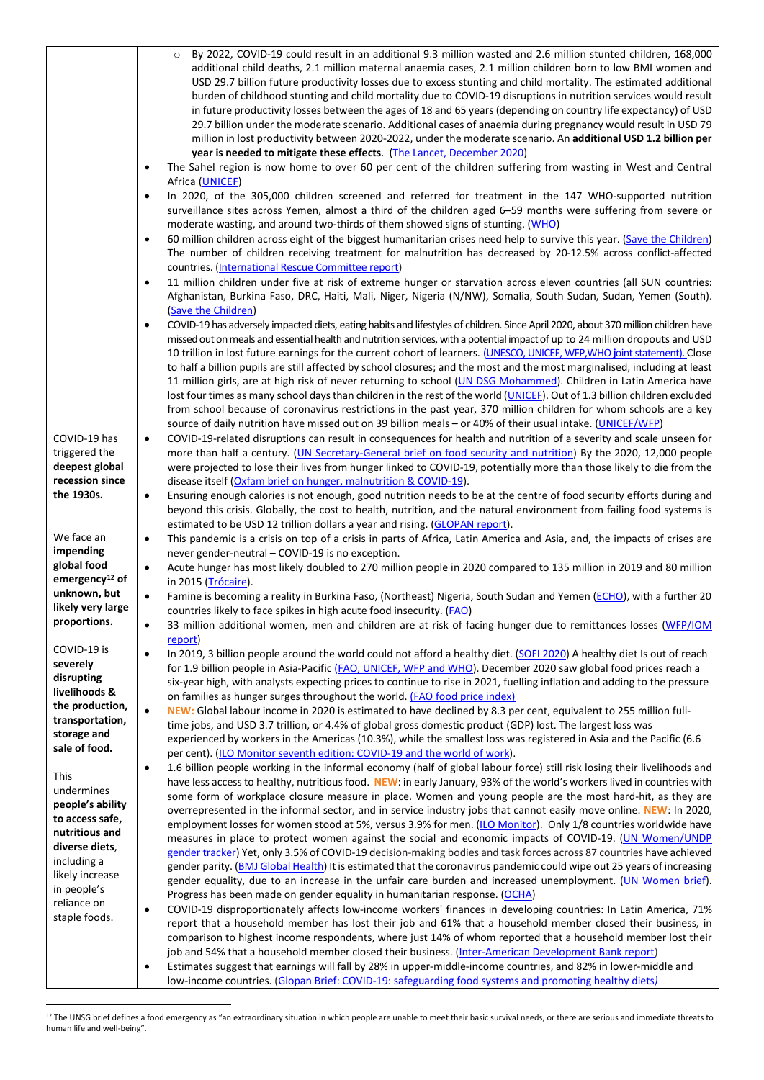|                                            | By 2022, COVID-19 could result in an additional 9.3 million wasted and 2.6 million stunted children, 168,000<br>additional child deaths, 2.1 million maternal anaemia cases, 2.1 million children born to low BMI women and<br>USD 29.7 billion future productivity losses due to excess stunting and child mortality. The estimated additional<br>burden of childhood stunting and child mortality due to COVID-19 disruptions in nutrition services would result<br>in future productivity losses between the ages of 18 and 65 years (depending on country life expectancy) of USD<br>29.7 billion under the moderate scenario. Additional cases of anaemia during pregnancy would result in USD 79 |
|--------------------------------------------|--------------------------------------------------------------------------------------------------------------------------------------------------------------------------------------------------------------------------------------------------------------------------------------------------------------------------------------------------------------------------------------------------------------------------------------------------------------------------------------------------------------------------------------------------------------------------------------------------------------------------------------------------------------------------------------------------------|
|                                            | million in lost productivity between 2020-2022, under the moderate scenario. An additional USD 1.2 billion per<br>year is needed to mitigate these effects. (The Lancet, December 2020)                                                                                                                                                                                                                                                                                                                                                                                                                                                                                                                |
|                                            | The Sahel region is now home to over 60 per cent of the children suffering from wasting in West and Central<br>$\bullet$                                                                                                                                                                                                                                                                                                                                                                                                                                                                                                                                                                               |
|                                            | Africa (UNICEF)<br>In 2020, of the 305,000 children screened and referred for treatment in the 147 WHO-supported nutrition<br>$\bullet$                                                                                                                                                                                                                                                                                                                                                                                                                                                                                                                                                                |
|                                            | surveillance sites across Yemen, almost a third of the children aged 6-59 months were suffering from severe or<br>moderate wasting, and around two-thirds of them showed signs of stunting. (WHO)                                                                                                                                                                                                                                                                                                                                                                                                                                                                                                      |
|                                            | 60 million children across eight of the biggest humanitarian crises need help to survive this year. (Save the Children)<br>$\bullet$<br>The number of children receiving treatment for malnutrition has decreased by 20-12.5% across conflict-affected                                                                                                                                                                                                                                                                                                                                                                                                                                                 |
|                                            | countries. (International Rescue Committee report)                                                                                                                                                                                                                                                                                                                                                                                                                                                                                                                                                                                                                                                     |
|                                            | 11 million children under five at risk of extreme hunger or starvation across eleven countries (all SUN countries:<br>$\bullet$<br>Afghanistan, Burkina Faso, DRC, Haiti, Mali, Niger, Nigeria (N/NW), Somalia, South Sudan, Sudan, Yemen (South).                                                                                                                                                                                                                                                                                                                                                                                                                                                     |
|                                            | (Save the Children)<br>COVID-19 has adversely impacted diets, eating habits and lifestyles of children. Since April 2020, about 370 million children have<br>$\bullet$                                                                                                                                                                                                                                                                                                                                                                                                                                                                                                                                 |
|                                            | missed out on meals and essential health and nutrition services, with a potential impact of up to 24 million dropouts and USD<br>10 trillion in lost future earnings for the current cohort of learners. (UNESCO, UNICEF, WFP, WHO joint statement). Close                                                                                                                                                                                                                                                                                                                                                                                                                                             |
|                                            | to half a billion pupils are still affected by school closures; and the most and the most marginalised, including at least<br>11 million girls, are at high risk of never returning to school (UN DSG Mohammed). Children in Latin America have                                                                                                                                                                                                                                                                                                                                                                                                                                                        |
|                                            | lost four times as many school days than children in the rest of the world (UNICEF). Out of 1.3 billion children excluded<br>from school because of coronavirus restrictions in the past year, 370 million children for whom schools are a key                                                                                                                                                                                                                                                                                                                                                                                                                                                         |
|                                            | source of daily nutrition have missed out on 39 billion meals - or 40% of their usual intake. (UNICEF/WFP)                                                                                                                                                                                                                                                                                                                                                                                                                                                                                                                                                                                             |
| COVID-19 has                               | COVID-19-related disruptions can result in consequences for health and nutrition of a severity and scale unseen for<br>$\bullet$                                                                                                                                                                                                                                                                                                                                                                                                                                                                                                                                                                       |
| triggered the<br>deepest global            | more than half a century. (UN Secretary-General brief on food security and nutrition) By the 2020, 12,000 people<br>were projected to lose their lives from hunger linked to COVID-19, potentially more than those likely to die from the                                                                                                                                                                                                                                                                                                                                                                                                                                                              |
| recession since                            | disease itself (Oxfam brief on hunger, malnutrition & COVID-19).                                                                                                                                                                                                                                                                                                                                                                                                                                                                                                                                                                                                                                       |
| the 1930s.                                 | Ensuring enough calories is not enough, good nutrition needs to be at the centre of food security efforts during and<br>$\bullet$                                                                                                                                                                                                                                                                                                                                                                                                                                                                                                                                                                      |
|                                            | beyond this crisis. Globally, the cost to health, nutrition, and the natural environment from failing food systems is<br>estimated to be USD 12 trillion dollars a year and rising. (GLOPAN report).                                                                                                                                                                                                                                                                                                                                                                                                                                                                                                   |
| We face an                                 | This pandemic is a crisis on top of a crisis in parts of Africa, Latin America and Asia, and, the impacts of crises are<br>$\bullet$                                                                                                                                                                                                                                                                                                                                                                                                                                                                                                                                                                   |
| impending<br>global food                   | never gender-neutral - COVID-19 is no exception.<br>Acute hunger has most likely doubled to 270 million people in 2020 compared to 135 million in 2019 and 80 million<br>$\bullet$                                                                                                                                                                                                                                                                                                                                                                                                                                                                                                                     |
| emergency <sup>12</sup> of<br>unknown, but | in 2015 (Trócaire).<br>Famine is becoming a reality in Burkina Faso, (Northeast) Nigeria, South Sudan and Yemen (ECHO), with a further 20                                                                                                                                                                                                                                                                                                                                                                                                                                                                                                                                                              |
| likely very large                          | countries likely to face spikes in high acute food insecurity. (FAO)                                                                                                                                                                                                                                                                                                                                                                                                                                                                                                                                                                                                                                   |
| proportions.                               | 33 million additional women, men and children are at risk of facing hunger due to remittances losses (WFP/IOM<br>report)                                                                                                                                                                                                                                                                                                                                                                                                                                                                                                                                                                               |
| COVID-19 is<br>severely                    | In 2019, 3 billion people around the world could not afford a healthy diet. (SOFI 2020) A healthy diet Is out of reach<br>$\bullet$                                                                                                                                                                                                                                                                                                                                                                                                                                                                                                                                                                    |
| disrupting                                 | for 1.9 billion people in Asia-Pacific (FAO, UNICEF, WFP and WHO). December 2020 saw global food prices reach a<br>six-year high, with analysts expecting prices to continue to rise in 2021, fuelling inflation and adding to the pressure                                                                                                                                                                                                                                                                                                                                                                                                                                                            |
| livelihoods &<br>the production,           | on families as hunger surges throughout the world. (FAO food price index)                                                                                                                                                                                                                                                                                                                                                                                                                                                                                                                                                                                                                              |
| transportation,                            | NEW: Global labour income in 2020 is estimated to have declined by 8.3 per cent, equivalent to 255 million full-<br>$\bullet$<br>time jobs, and USD 3.7 trillion, or 4.4% of global gross domestic product (GDP) lost. The largest loss was                                                                                                                                                                                                                                                                                                                                                                                                                                                            |
| storage and<br>sale of food.               | experienced by workers in the Americas (10.3%), while the smallest loss was registered in Asia and the Pacific (6.6                                                                                                                                                                                                                                                                                                                                                                                                                                                                                                                                                                                    |
|                                            | per cent). (ILO Monitor seventh edition: COVID-19 and the world of work).<br>1.6 billion people working in the informal economy (half of global labour force) still risk losing their livelihoods and<br>$\bullet$                                                                                                                                                                                                                                                                                                                                                                                                                                                                                     |
| This                                       | have less access to healthy, nutritious food. NEW: in early January, 93% of the world's workers lived in countries with                                                                                                                                                                                                                                                                                                                                                                                                                                                                                                                                                                                |
| undermines<br>people's ability             | some form of workplace closure measure in place. Women and young people are the most hard-hit, as they are                                                                                                                                                                                                                                                                                                                                                                                                                                                                                                                                                                                             |
| to access safe,                            | overrepresented in the informal sector, and in service industry jobs that cannot easily move online. NEW: In 2020,<br>employment losses for women stood at 5%, versus 3.9% for men. (ILO Monitor). Only 1/8 countries worldwide have                                                                                                                                                                                                                                                                                                                                                                                                                                                                   |
| nutritious and                             | measures in place to protect women against the social and economic impacts of COVID-19. (UN Women/UNDP                                                                                                                                                                                                                                                                                                                                                                                                                                                                                                                                                                                                 |
| diverse diets,<br>including a              | gender tracker) Yet, only 3.5% of COVID-19 decision-making bodies and task forces across 87 countries have achieved                                                                                                                                                                                                                                                                                                                                                                                                                                                                                                                                                                                    |
| likely increase                            | gender parity. (BMJ Global Health) It is estimated that the coronavirus pandemic could wipe out 25 years of increasing                                                                                                                                                                                                                                                                                                                                                                                                                                                                                                                                                                                 |
| in people's                                | gender equality, due to an increase in the unfair care burden and increased unemployment. (UN Women brief).<br>Progress has been made on gender equality in humanitarian response. (OCHA)                                                                                                                                                                                                                                                                                                                                                                                                                                                                                                              |
| reliance on                                | COVID-19 disproportionately affects low-income workers' finances in developing countries: In Latin America, 71%<br>$\bullet$                                                                                                                                                                                                                                                                                                                                                                                                                                                                                                                                                                           |
| staple foods.                              | report that a household member has lost their job and 61% that a household member closed their business, in                                                                                                                                                                                                                                                                                                                                                                                                                                                                                                                                                                                            |
|                                            | comparison to highest income respondents, where just 14% of whom reported that a household member lost their<br>job and 54% that a household member closed their business. (Inter-American Development Bank report)                                                                                                                                                                                                                                                                                                                                                                                                                                                                                    |
|                                            | Estimates suggest that earnings will fall by 28% in upper-middle-income countries, and 82% in lower-middle and<br>$\bullet$                                                                                                                                                                                                                                                                                                                                                                                                                                                                                                                                                                            |
|                                            | low-income countries. (Glopan Brief: COVID-19: safeguarding food systems and promoting healthy diets)                                                                                                                                                                                                                                                                                                                                                                                                                                                                                                                                                                                                  |

<span id="page-1-0"></span> $^{12}$  The UNSG brief defines a food emergency as "an extraordinary situation in which people are unable to meet their basic survival needs, or there are serious and immediate threats to human life and well-being".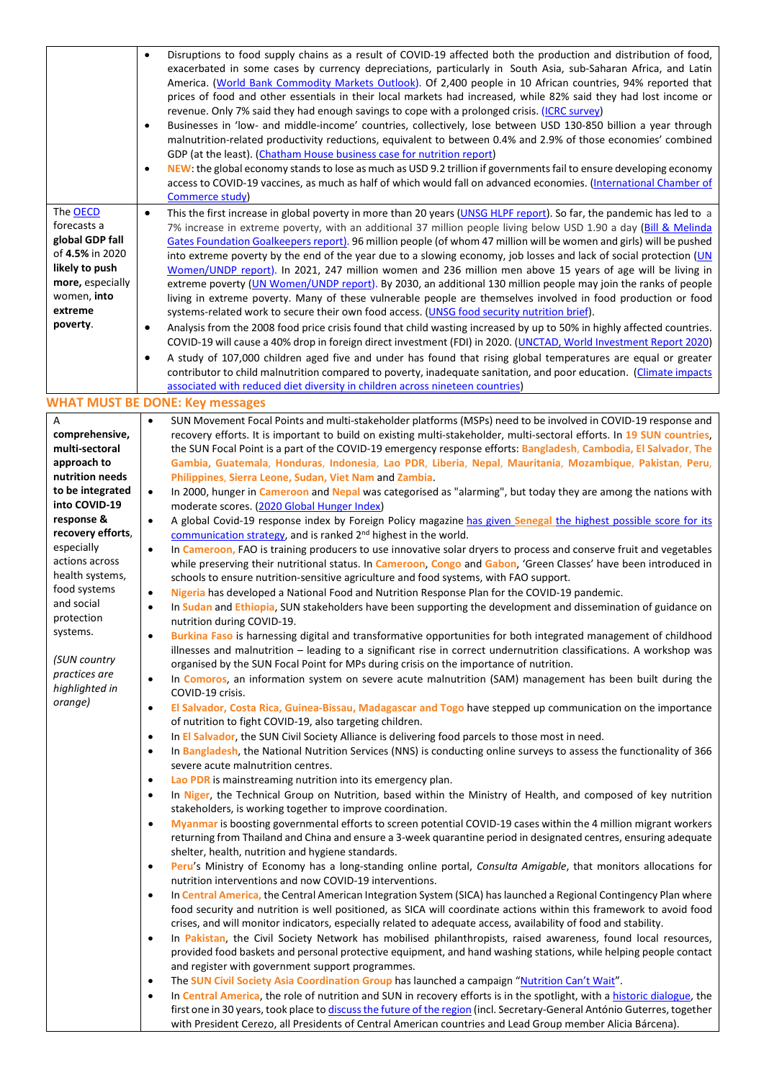| The <b>OECD</b><br>forecasts a<br>global GDP fall<br>of 4.5% in 2020<br>likely to push<br>more, especially<br>women, into<br>extreme | $\bullet$<br>$\bullet$<br>$\bullet$<br>$\bullet$ | Disruptions to food supply chains as a result of COVID-19 affected both the production and distribution of food,<br>exacerbated in some cases by currency depreciations, particularly in South Asia, sub-Saharan Africa, and Latin<br>America. (World Bank Commodity Markets Outlook). Of 2,400 people in 10 African countries, 94% reported that<br>prices of food and other essentials in their local markets had increased, while 82% said they had lost income or<br>revenue. Only 7% said they had enough savings to cope with a prolonged crisis. (ICRC survey)<br>Businesses in 'low- and middle-income' countries, collectively, lose between USD 130-850 billion a year through<br>malnutrition-related productivity reductions, equivalent to between 0.4% and 2.9% of those economies' combined<br>GDP (at the least). (Chatham House business case for nutrition report)<br>NEW: the global economy stands to lose as much as USD 9.2 trillion if governments fail to ensure developing economy<br>access to COVID-19 vaccines, as much as half of which would fall on advanced economies. (International Chamber of<br>Commerce study)<br>This the first increase in global poverty in more than 20 years (UNSG HLPF report). So far, the pandemic has led to a<br>7% increase in extreme poverty, with an additional 37 million people living below USD 1.90 a day (Bill & Melinda<br>Gates Foundation Goalkeepers report). 96 million people (of whom 47 million will be women and girls) will be pushed<br>into extreme poverty by the end of the year due to a slowing economy, job losses and lack of social protection (UN<br>Women/UNDP report). In 2021, 247 million women and 236 million men above 15 years of age will be living in<br>extreme poverty (UN Women/UNDP report). By 2030, an additional 130 million people may join the ranks of people<br>living in extreme poverty. Many of these vulnerable people are themselves involved in food production or food<br>systems-related work to secure their own food access. (UNSG food security nutrition brief). |
|--------------------------------------------------------------------------------------------------------------------------------------|--------------------------------------------------|-----------------------------------------------------------------------------------------------------------------------------------------------------------------------------------------------------------------------------------------------------------------------------------------------------------------------------------------------------------------------------------------------------------------------------------------------------------------------------------------------------------------------------------------------------------------------------------------------------------------------------------------------------------------------------------------------------------------------------------------------------------------------------------------------------------------------------------------------------------------------------------------------------------------------------------------------------------------------------------------------------------------------------------------------------------------------------------------------------------------------------------------------------------------------------------------------------------------------------------------------------------------------------------------------------------------------------------------------------------------------------------------------------------------------------------------------------------------------------------------------------------------------------------------------------------------------------------------------------------------------------------------------------------------------------------------------------------------------------------------------------------------------------------------------------------------------------------------------------------------------------------------------------------------------------------------------------------------------------------------------------------------------------------------------------------------------------------------------|
| poverty.                                                                                                                             | $\bullet$                                        | Analysis from the 2008 food price crisis found that child wasting increased by up to 50% in highly affected countries.                                                                                                                                                                                                                                                                                                                                                                                                                                                                                                                                                                                                                                                                                                                                                                                                                                                                                                                                                                                                                                                                                                                                                                                                                                                                                                                                                                                                                                                                                                                                                                                                                                                                                                                                                                                                                                                                                                                                                                        |
|                                                                                                                                      | $\bullet$                                        | COVID-19 will cause a 40% drop in foreign direct investment (FDI) in 2020. (UNCTAD, World Investment Report 2020)<br>A study of 107,000 children aged five and under has found that rising global temperatures are equal or greater                                                                                                                                                                                                                                                                                                                                                                                                                                                                                                                                                                                                                                                                                                                                                                                                                                                                                                                                                                                                                                                                                                                                                                                                                                                                                                                                                                                                                                                                                                                                                                                                                                                                                                                                                                                                                                                           |
|                                                                                                                                      |                                                  | contributor to child malnutrition compared to poverty, inadequate sanitation, and poor education. (Climate impacts<br>associated with reduced diet diversity in children across nineteen countries)                                                                                                                                                                                                                                                                                                                                                                                                                                                                                                                                                                                                                                                                                                                                                                                                                                                                                                                                                                                                                                                                                                                                                                                                                                                                                                                                                                                                                                                                                                                                                                                                                                                                                                                                                                                                                                                                                           |
|                                                                                                                                      |                                                  | <b>WHAT MUST BE DONE: Key messages</b>                                                                                                                                                                                                                                                                                                                                                                                                                                                                                                                                                                                                                                                                                                                                                                                                                                                                                                                                                                                                                                                                                                                                                                                                                                                                                                                                                                                                                                                                                                                                                                                                                                                                                                                                                                                                                                                                                                                                                                                                                                                        |
| Α                                                                                                                                    | $\bullet$                                        | SUN Movement Focal Points and multi-stakeholder platforms (MSPs) need to be involved in COVID-19 response and                                                                                                                                                                                                                                                                                                                                                                                                                                                                                                                                                                                                                                                                                                                                                                                                                                                                                                                                                                                                                                                                                                                                                                                                                                                                                                                                                                                                                                                                                                                                                                                                                                                                                                                                                                                                                                                                                                                                                                                 |
| comprehensive,                                                                                                                       |                                                  | recovery efforts. It is important to build on existing multi-stakeholder, multi-sectoral efforts. In 19 SUN countries,                                                                                                                                                                                                                                                                                                                                                                                                                                                                                                                                                                                                                                                                                                                                                                                                                                                                                                                                                                                                                                                                                                                                                                                                                                                                                                                                                                                                                                                                                                                                                                                                                                                                                                                                                                                                                                                                                                                                                                        |
| multi-sectoral                                                                                                                       |                                                  | the SUN Focal Point is a part of the COVID-19 emergency response efforts: Bangladesh, Cambodia, El Salvador, The                                                                                                                                                                                                                                                                                                                                                                                                                                                                                                                                                                                                                                                                                                                                                                                                                                                                                                                                                                                                                                                                                                                                                                                                                                                                                                                                                                                                                                                                                                                                                                                                                                                                                                                                                                                                                                                                                                                                                                              |
| approach to<br>nutrition needs                                                                                                       |                                                  | Gambia, Guatemala, Honduras, Indonesia, Lao PDR, Liberia, Nepal, Mauritania, Mozambique, Pakistan, Peru,<br>Philippines, Sierra Leone, Sudan, Viet Nam and Zambia.                                                                                                                                                                                                                                                                                                                                                                                                                                                                                                                                                                                                                                                                                                                                                                                                                                                                                                                                                                                                                                                                                                                                                                                                                                                                                                                                                                                                                                                                                                                                                                                                                                                                                                                                                                                                                                                                                                                            |
| to be integrated                                                                                                                     | $\bullet$                                        | In 2000, hunger in Cameroon and Nepal was categorised as "alarming", but today they are among the nations with                                                                                                                                                                                                                                                                                                                                                                                                                                                                                                                                                                                                                                                                                                                                                                                                                                                                                                                                                                                                                                                                                                                                                                                                                                                                                                                                                                                                                                                                                                                                                                                                                                                                                                                                                                                                                                                                                                                                                                                |
| into COVID-19                                                                                                                        |                                                  | moderate scores. (2020 Global Hunger Index)                                                                                                                                                                                                                                                                                                                                                                                                                                                                                                                                                                                                                                                                                                                                                                                                                                                                                                                                                                                                                                                                                                                                                                                                                                                                                                                                                                                                                                                                                                                                                                                                                                                                                                                                                                                                                                                                                                                                                                                                                                                   |
| response &<br>recovery efforts,                                                                                                      | $\bullet$                                        | A global Covid-19 response index by Foreign Policy magazine has given Senegal the highest possible score for its                                                                                                                                                                                                                                                                                                                                                                                                                                                                                                                                                                                                                                                                                                                                                                                                                                                                                                                                                                                                                                                                                                                                                                                                                                                                                                                                                                                                                                                                                                                                                                                                                                                                                                                                                                                                                                                                                                                                                                              |
| especially                                                                                                                           | $\bullet$                                        | communication strategy, and is ranked 2 <sup>nd</sup> highest in the world.<br>In Cameroon, FAO is training producers to use innovative solar dryers to process and conserve fruit and vegetables                                                                                                                                                                                                                                                                                                                                                                                                                                                                                                                                                                                                                                                                                                                                                                                                                                                                                                                                                                                                                                                                                                                                                                                                                                                                                                                                                                                                                                                                                                                                                                                                                                                                                                                                                                                                                                                                                             |
| actions across                                                                                                                       |                                                  | while preserving their nutritional status. In Cameroon, Congo and Gabon, 'Green Classes' have been introduced in                                                                                                                                                                                                                                                                                                                                                                                                                                                                                                                                                                                                                                                                                                                                                                                                                                                                                                                                                                                                                                                                                                                                                                                                                                                                                                                                                                                                                                                                                                                                                                                                                                                                                                                                                                                                                                                                                                                                                                              |
| health systems,                                                                                                                      |                                                  | schools to ensure nutrition-sensitive agriculture and food systems, with FAO support.                                                                                                                                                                                                                                                                                                                                                                                                                                                                                                                                                                                                                                                                                                                                                                                                                                                                                                                                                                                                                                                                                                                                                                                                                                                                                                                                                                                                                                                                                                                                                                                                                                                                                                                                                                                                                                                                                                                                                                                                         |
| food systems<br>and social                                                                                                           | $\bullet$                                        | Nigeria has developed a National Food and Nutrition Response Plan for the COVID-19 pandemic.                                                                                                                                                                                                                                                                                                                                                                                                                                                                                                                                                                                                                                                                                                                                                                                                                                                                                                                                                                                                                                                                                                                                                                                                                                                                                                                                                                                                                                                                                                                                                                                                                                                                                                                                                                                                                                                                                                                                                                                                  |
| protection                                                                                                                           | $\bullet$                                        | In Sudan and Ethiopia, SUN stakeholders have been supporting the development and dissemination of guidance on<br>nutrition during COVID-19.                                                                                                                                                                                                                                                                                                                                                                                                                                                                                                                                                                                                                                                                                                                                                                                                                                                                                                                                                                                                                                                                                                                                                                                                                                                                                                                                                                                                                                                                                                                                                                                                                                                                                                                                                                                                                                                                                                                                                   |
| systems.                                                                                                                             | $\bullet$                                        | Burkina Faso is harnessing digital and transformative opportunities for both integrated management of childhood                                                                                                                                                                                                                                                                                                                                                                                                                                                                                                                                                                                                                                                                                                                                                                                                                                                                                                                                                                                                                                                                                                                                                                                                                                                                                                                                                                                                                                                                                                                                                                                                                                                                                                                                                                                                                                                                                                                                                                               |
| (SUN country                                                                                                                         |                                                  | illnesses and malnutrition - leading to a significant rise in correct undernutrition classifications. A workshop was<br>organised by the SUN Focal Point for MPs during crisis on the importance of nutrition.                                                                                                                                                                                                                                                                                                                                                                                                                                                                                                                                                                                                                                                                                                                                                                                                                                                                                                                                                                                                                                                                                                                                                                                                                                                                                                                                                                                                                                                                                                                                                                                                                                                                                                                                                                                                                                                                                |
| practices are<br>highlighted in                                                                                                      | $\bullet$                                        | In Comoros, an information system on severe acute malnutrition (SAM) management has been built during the<br>COVID-19 crisis.                                                                                                                                                                                                                                                                                                                                                                                                                                                                                                                                                                                                                                                                                                                                                                                                                                                                                                                                                                                                                                                                                                                                                                                                                                                                                                                                                                                                                                                                                                                                                                                                                                                                                                                                                                                                                                                                                                                                                                 |
| orange)                                                                                                                              | $\bullet$                                        | El Salvador, Costa Rica, Guinea-Bissau, Madagascar and Togo have stepped up communication on the importance<br>of nutrition to fight COVID-19, also targeting children.                                                                                                                                                                                                                                                                                                                                                                                                                                                                                                                                                                                                                                                                                                                                                                                                                                                                                                                                                                                                                                                                                                                                                                                                                                                                                                                                                                                                                                                                                                                                                                                                                                                                                                                                                                                                                                                                                                                       |
|                                                                                                                                      | $\bullet$                                        | In El Salvador, the SUN Civil Society Alliance is delivering food parcels to those most in need.                                                                                                                                                                                                                                                                                                                                                                                                                                                                                                                                                                                                                                                                                                                                                                                                                                                                                                                                                                                                                                                                                                                                                                                                                                                                                                                                                                                                                                                                                                                                                                                                                                                                                                                                                                                                                                                                                                                                                                                              |
|                                                                                                                                      | $\bullet$                                        | In Bangladesh, the National Nutrition Services (NNS) is conducting online surveys to assess the functionality of 366<br>severe acute malnutrition centres.                                                                                                                                                                                                                                                                                                                                                                                                                                                                                                                                                                                                                                                                                                                                                                                                                                                                                                                                                                                                                                                                                                                                                                                                                                                                                                                                                                                                                                                                                                                                                                                                                                                                                                                                                                                                                                                                                                                                    |
|                                                                                                                                      | $\bullet$                                        | Lao PDR is mainstreaming nutrition into its emergency plan.                                                                                                                                                                                                                                                                                                                                                                                                                                                                                                                                                                                                                                                                                                                                                                                                                                                                                                                                                                                                                                                                                                                                                                                                                                                                                                                                                                                                                                                                                                                                                                                                                                                                                                                                                                                                                                                                                                                                                                                                                                   |
|                                                                                                                                      | $\bullet$                                        | In Niger, the Technical Group on Nutrition, based within the Ministry of Health, and composed of key nutrition<br>stakeholders, is working together to improve coordination.                                                                                                                                                                                                                                                                                                                                                                                                                                                                                                                                                                                                                                                                                                                                                                                                                                                                                                                                                                                                                                                                                                                                                                                                                                                                                                                                                                                                                                                                                                                                                                                                                                                                                                                                                                                                                                                                                                                  |
|                                                                                                                                      | $\bullet$                                        | Myanmar is boosting governmental efforts to screen potential COVID-19 cases within the 4 million migrant workers                                                                                                                                                                                                                                                                                                                                                                                                                                                                                                                                                                                                                                                                                                                                                                                                                                                                                                                                                                                                                                                                                                                                                                                                                                                                                                                                                                                                                                                                                                                                                                                                                                                                                                                                                                                                                                                                                                                                                                              |
|                                                                                                                                      |                                                  | returning from Thailand and China and ensure a 3-week quarantine period in designated centres, ensuring adequate                                                                                                                                                                                                                                                                                                                                                                                                                                                                                                                                                                                                                                                                                                                                                                                                                                                                                                                                                                                                                                                                                                                                                                                                                                                                                                                                                                                                                                                                                                                                                                                                                                                                                                                                                                                                                                                                                                                                                                              |
|                                                                                                                                      |                                                  | shelter, health, nutrition and hygiene standards.                                                                                                                                                                                                                                                                                                                                                                                                                                                                                                                                                                                                                                                                                                                                                                                                                                                                                                                                                                                                                                                                                                                                                                                                                                                                                                                                                                                                                                                                                                                                                                                                                                                                                                                                                                                                                                                                                                                                                                                                                                             |
|                                                                                                                                      | $\bullet$                                        | Peru's Ministry of Economy has a long-standing online portal, Consulta Amigable, that monitors allocations for<br>nutrition interventions and now COVID-19 interventions.                                                                                                                                                                                                                                                                                                                                                                                                                                                                                                                                                                                                                                                                                                                                                                                                                                                                                                                                                                                                                                                                                                                                                                                                                                                                                                                                                                                                                                                                                                                                                                                                                                                                                                                                                                                                                                                                                                                     |
|                                                                                                                                      | $\bullet$                                        | In Central America, the Central American Integration System (SICA) has launched a Regional Contingency Plan where                                                                                                                                                                                                                                                                                                                                                                                                                                                                                                                                                                                                                                                                                                                                                                                                                                                                                                                                                                                                                                                                                                                                                                                                                                                                                                                                                                                                                                                                                                                                                                                                                                                                                                                                                                                                                                                                                                                                                                             |
|                                                                                                                                      |                                                  | food security and nutrition is well positioned, as SICA will coordinate actions within this framework to avoid food                                                                                                                                                                                                                                                                                                                                                                                                                                                                                                                                                                                                                                                                                                                                                                                                                                                                                                                                                                                                                                                                                                                                                                                                                                                                                                                                                                                                                                                                                                                                                                                                                                                                                                                                                                                                                                                                                                                                                                           |
|                                                                                                                                      |                                                  | crises, and will monitor indicators, especially related to adequate access, availability of food and stability.                                                                                                                                                                                                                                                                                                                                                                                                                                                                                                                                                                                                                                                                                                                                                                                                                                                                                                                                                                                                                                                                                                                                                                                                                                                                                                                                                                                                                                                                                                                                                                                                                                                                                                                                                                                                                                                                                                                                                                               |
|                                                                                                                                      | $\bullet$                                        | In Pakistan, the Civil Society Network has mobilised philanthropists, raised awareness, found local resources,                                                                                                                                                                                                                                                                                                                                                                                                                                                                                                                                                                                                                                                                                                                                                                                                                                                                                                                                                                                                                                                                                                                                                                                                                                                                                                                                                                                                                                                                                                                                                                                                                                                                                                                                                                                                                                                                                                                                                                                |
|                                                                                                                                      |                                                  | provided food baskets and personal protective equipment, and hand washing stations, while helping people contact<br>and register with government support programmes.                                                                                                                                                                                                                                                                                                                                                                                                                                                                                                                                                                                                                                                                                                                                                                                                                                                                                                                                                                                                                                                                                                                                                                                                                                                                                                                                                                                                                                                                                                                                                                                                                                                                                                                                                                                                                                                                                                                          |
|                                                                                                                                      | $\bullet$                                        | The SUN Civil Society Asia Coordination Group has launched a campaign "Nutrition Can't Wait".                                                                                                                                                                                                                                                                                                                                                                                                                                                                                                                                                                                                                                                                                                                                                                                                                                                                                                                                                                                                                                                                                                                                                                                                                                                                                                                                                                                                                                                                                                                                                                                                                                                                                                                                                                                                                                                                                                                                                                                                 |
|                                                                                                                                      | $\bullet$                                        | In Central America, the role of nutrition and SUN in recovery efforts is in the spotlight, with a historic dialogue, the                                                                                                                                                                                                                                                                                                                                                                                                                                                                                                                                                                                                                                                                                                                                                                                                                                                                                                                                                                                                                                                                                                                                                                                                                                                                                                                                                                                                                                                                                                                                                                                                                                                                                                                                                                                                                                                                                                                                                                      |
|                                                                                                                                      |                                                  | first one in 30 years, took place to discuss the future of the region (incl. Secretary-General António Guterres, together<br>with President Cerezo, all Presidents of Central American countries and Lead Group member Alicia Bárcena).                                                                                                                                                                                                                                                                                                                                                                                                                                                                                                                                                                                                                                                                                                                                                                                                                                                                                                                                                                                                                                                                                                                                                                                                                                                                                                                                                                                                                                                                                                                                                                                                                                                                                                                                                                                                                                                       |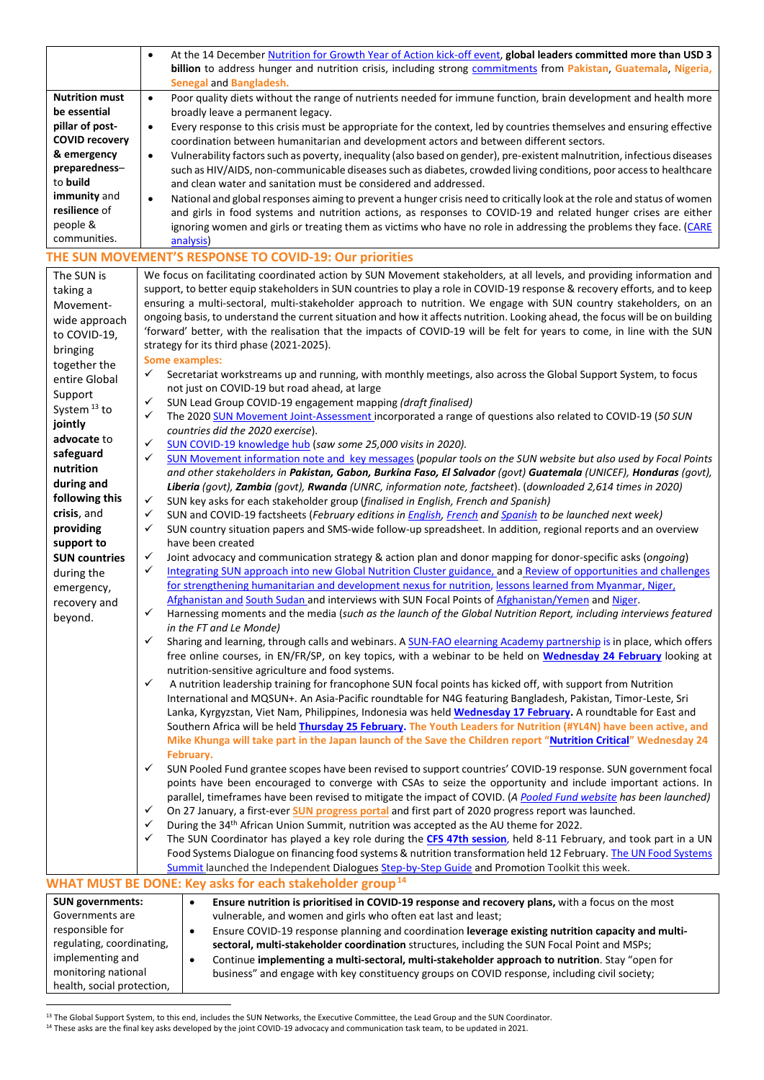|                                 | At the 14 December Nutrition for Growth Year of Action kick-off event, global leaders committed more than USD 3<br>$\bullet$                                                                                                                     |
|---------------------------------|--------------------------------------------------------------------------------------------------------------------------------------------------------------------------------------------------------------------------------------------------|
|                                 | billion to address hunger and nutrition crisis, including strong commitments from Pakistan, Guatemala, Nigeria,<br>Senegal and Bangladesh.                                                                                                       |
| <b>Nutrition must</b>           | Poor quality diets without the range of nutrients needed for immune function, brain development and health more<br>$\bullet$                                                                                                                     |
| be essential<br>pillar of post- | broadly leave a permanent legacy.<br>Every response to this crisis must be appropriate for the context, led by countries themselves and ensuring effective<br>$\bullet$                                                                          |
| <b>COVID recovery</b>           | coordination between humanitarian and development actors and between different sectors.                                                                                                                                                          |
| & emergency                     | Vulnerability factors such as poverty, inequality (also based on gender), pre-existent malnutrition, infectious diseases<br>$\bullet$                                                                                                            |
| preparedness-                   | such as HIV/AIDS, non-communicable diseases such as diabetes, crowded living conditions, poor access to healthcare                                                                                                                               |
| to build                        | and clean water and sanitation must be considered and addressed.                                                                                                                                                                                 |
| immunity and<br>resilience of   | National and global responses aiming to prevent a hunger crisis need to critically look at the role and status of women<br>$\bullet$                                                                                                             |
| people &                        | and girls in food systems and nutrition actions, as responses to COVID-19 and related hunger crises are either<br>ignoring women and girls or treating them as victims who have no role in addressing the problems they face. (CARE              |
| communities.                    | analysis)                                                                                                                                                                                                                                        |
|                                 | THE SUN MOVEMENT'S RESPONSE TO COVID-19: Our priorities                                                                                                                                                                                          |
| The SUN is                      | We focus on facilitating coordinated action by SUN Movement stakeholders, at all levels, and providing information and                                                                                                                           |
| taking a                        | support, to better equip stakeholders in SUN countries to play a role in COVID-19 response & recovery efforts, and to keep<br>ensuring a multi-sectoral, multi-stakeholder approach to nutrition. We engage with SUN country stakeholders, on an |
| Movement-                       | ongoing basis, to understand the current situation and how it affects nutrition. Looking ahead, the focus will be on building                                                                                                                    |
| wide approach                   | 'forward' better, with the realisation that the impacts of COVID-19 will be felt for years to come, in line with the SUN                                                                                                                         |
| to COVID-19,<br>bringing        | strategy for its third phase (2021-2025).                                                                                                                                                                                                        |
| together the                    | <b>Some examples:</b>                                                                                                                                                                                                                            |
| entire Global                   | ✓<br>Secretariat workstreams up and running, with monthly meetings, also across the Global Support System, to focus                                                                                                                              |
| Support                         | not just on COVID-19 but road ahead, at large                                                                                                                                                                                                    |
| System <sup>13</sup> to         | ✓<br>SUN Lead Group COVID-19 engagement mapping (draft finalised)<br>✓                                                                                                                                                                           |
| jointly                         | The 2020 SUN Movement Joint-Assessment incorporated a range of questions also related to COVID-19 (50 SUN<br>countries did the 2020 exercise).                                                                                                   |
| advocate to                     | ✓<br>SUN COVID-19 knowledge hub (saw some 25,000 visits in 2020).                                                                                                                                                                                |
| safeguard                       | ✓<br>SUN Movement information note and key messages (popular tools on the SUN website but also used by Focal Points                                                                                                                              |
| nutrition                       | and other stakeholders in Pakistan, Gabon, Burkina Faso, El Salvador (govt) Guatemala (UNICEF), Honduras (govt),                                                                                                                                 |
| during and<br>following this    | Liberia (govt), Zambia (govt), Rwanda (UNRC, information note, factsheet). (downloaded 2,614 times in 2020)                                                                                                                                      |
| crisis, and                     | ✓<br>SUN key asks for each stakeholder group (finalised in English, French and Spanish)<br>✓                                                                                                                                                     |
| providing                       | SUN and COVID-19 factsheets (February editions in <i>English, French and Spanish</i> to be launched next week)<br>✓<br>SUN country situation papers and SMS-wide follow-up spreadsheet. In addition, regional reports and an overview            |
| support to                      | have been created                                                                                                                                                                                                                                |
| <b>SUN countries</b>            | ✓<br>Joint advocacy and communication strategy & action plan and donor mapping for donor-specific asks (ongoing)                                                                                                                                 |
| during the                      | ✓<br>Integrating SUN approach into new Global Nutrition Cluster guidance, and a Review of opportunities and challenges                                                                                                                           |
| emergency,                      | for strengthening humanitarian and development nexus for nutrition, lessons learned from Myanmar, Niger,                                                                                                                                         |
| recovery and                    | Afghanistan and South Sudan and interviews with SUN Focal Points of Afghanistan/Yemen and Niger.<br>✓                                                                                                                                            |
| beyond.                         | Harnessing moments and the media (such as the launch of the Global Nutrition Report, including interviews featured<br>in the FT and Le Monde)                                                                                                    |
|                                 | ✓<br>Sharing and learning, through calls and webinars. A SUN-FAO elearning Academy partnership is in place, which offers                                                                                                                         |
|                                 | free online courses, in EN/FR/SP, on key topics, with a webinar to be held on Wednesday 24 February looking at                                                                                                                                   |
|                                 | nutrition-sensitive agriculture and food systems.<br>$\checkmark$<br>A nutrition leadership training for francophone SUN focal points has kicked off, with support from Nutrition                                                                |
|                                 | International and MQSUN+. An Asia-Pacific roundtable for N4G featuring Bangladesh, Pakistan, Timor-Leste, Sri                                                                                                                                    |
|                                 | Lanka, Kyrgyzstan, Viet Nam, Philippines, Indonesia was held Wednesday 17 February. A roundtable for East and                                                                                                                                    |
|                                 | Southern Africa will be held Thursday 25 February. The Youth Leaders for Nutrition (#YL4N) have been active, and                                                                                                                                 |
|                                 | Mike Khunga will take part in the Japan launch of the Save the Children report "Nutrition Critical" Wednesday 24                                                                                                                                 |
|                                 | February.<br>✓<br>SUN Pooled Fund grantee scopes have been revised to support countries' COVID-19 response. SUN government focal                                                                                                                 |
|                                 | points have been encouraged to converge with CSAs to seize the opportunity and include important actions. In                                                                                                                                     |
|                                 | parallel, timeframes have been revised to mitigate the impact of COVID. (A Pooled Fund website has been launched)                                                                                                                                |
|                                 | On 27 January, a first-ever <b>SUN</b> progress portal and first part of 2020 progress report was launched.<br>✓                                                                                                                                 |
|                                 | During the 34 <sup>th</sup> African Union Summit, nutrition was accepted as the AU theme for 2022.<br>✓                                                                                                                                          |
|                                 | ✓<br>The SUN Coordinator has played a key role during the CFS 47th session, held 8-11 February, and took part in a UN                                                                                                                            |
|                                 | Food Systems Dialogue on financing food systems & nutrition transformation held 12 February. The UN Food Systems<br>Summit launched the Independent Dialogues Step-by-Step Guide and Promotion Toolkit this week.                                |
|                                 | WHAT MUST BE DONE: Key asks for each stakeholder group <sup>14</sup>                                                                                                                                                                             |
| <b>SUN governments:</b>         | Ensure nutrition is prioritised in COVID-19 response and recovery plans, with a focus on the most<br>$\bullet$                                                                                                                                   |
| Governments are                 | vulnerable, and women and girls who often eat last and least;                                                                                                                                                                                    |
| responsible for                 | Ensure COVID-19 response planning and coordination leverage existing nutrition capacity and multi-<br>$\bullet$                                                                                                                                  |
| regulating, coordinating,       | sectoral, multi-stakeholder coordination structures, including the SUN Focal Point and MSPs;                                                                                                                                                     |
| implementing and                | Continue implementing a multi-sectoral, multi-stakeholder approach to nutrition. Stay "open for<br>$\bullet$                                                                                                                                     |
| monitoring national             | business" and engage with key constituency groups on COVID response, including civil society;                                                                                                                                                    |
| health, social protection,      |                                                                                                                                                                                                                                                  |

<span id="page-3-1"></span><span id="page-3-0"></span><sup>&</sup>lt;sup>13</sup> The Global Support System, to this end, includes the SUN Networks, the Executive Committee, the Lead Group and the SUN Coordinator.

<sup>&</sup>lt;sup>14</sup> These asks are the final key asks developed by the joint COVID-19 advocacy and communication task team, to be updated in 2021.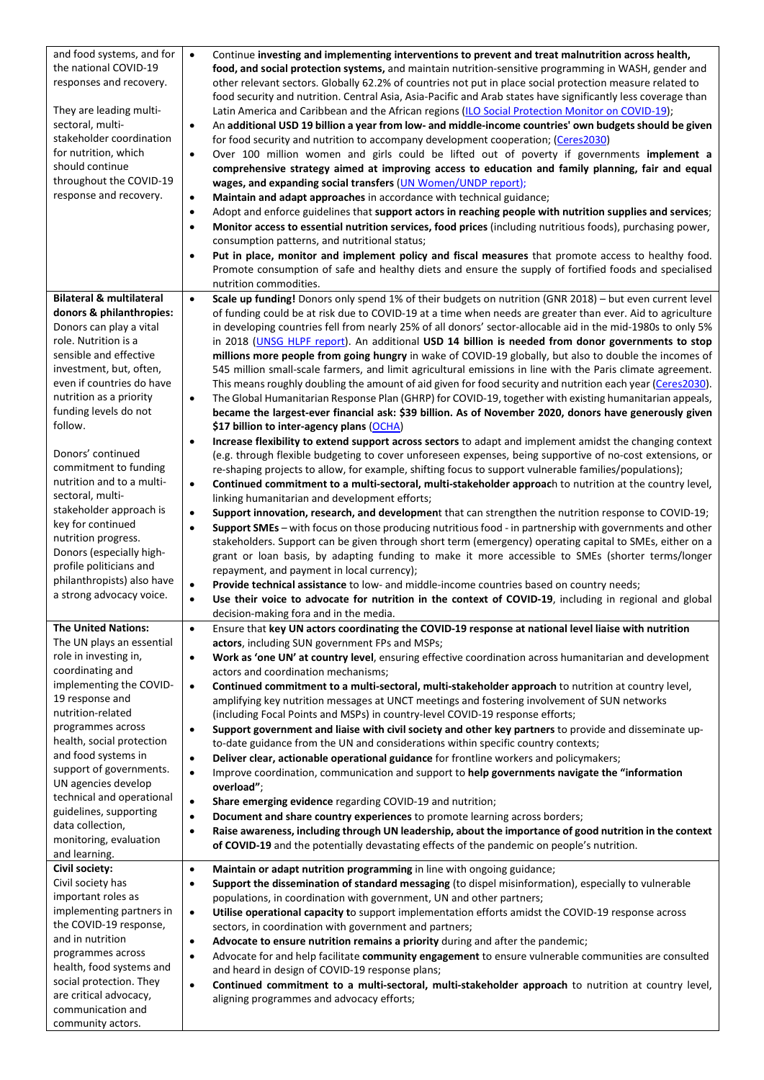| and food systems, and for                              | Continue investing and implementing interventions to prevent and treat malnutrition across health,<br>$\bullet$                                                                                                            |
|--------------------------------------------------------|----------------------------------------------------------------------------------------------------------------------------------------------------------------------------------------------------------------------------|
| the national COVID-19                                  | food, and social protection systems, and maintain nutrition-sensitive programming in WASH, gender and                                                                                                                      |
| responses and recovery.                                | other relevant sectors. Globally 62.2% of countries not put in place social protection measure related to                                                                                                                  |
|                                                        | food security and nutrition. Central Asia, Asia-Pacific and Arab states have significantly less coverage than                                                                                                              |
| They are leading multi-                                | Latin America and Caribbean and the African regions (ILO Social Protection Monitor on COVID-19);                                                                                                                           |
| sectoral, multi-                                       | An additional USD 19 billion a year from low- and middle-income countries' own budgets should be given<br>٠                                                                                                                |
| stakeholder coordination                               | for food security and nutrition to accompany development cooperation; (Ceres2030)                                                                                                                                          |
| for nutrition, which                                   | Over 100 million women and girls could be lifted out of poverty if governments implement a<br>٠                                                                                                                            |
| should continue<br>throughout the COVID-19             | comprehensive strategy aimed at improving access to education and family planning, fair and equal                                                                                                                          |
| response and recovery.                                 | wages, and expanding social transfers (UN Women/UNDP report);                                                                                                                                                              |
|                                                        | Maintain and adapt approaches in accordance with technical guidance;<br>٠<br>Adopt and enforce guidelines that support actors in reaching people with nutrition supplies and services;<br>$\bullet$                        |
|                                                        | Monitor access to essential nutrition services, food prices (including nutritious foods), purchasing power,<br>$\bullet$                                                                                                   |
|                                                        | consumption patterns, and nutritional status;                                                                                                                                                                              |
|                                                        | Put in place, monitor and implement policy and fiscal measures that promote access to healthy food.<br>$\bullet$                                                                                                           |
|                                                        | Promote consumption of safe and healthy diets and ensure the supply of fortified foods and specialised                                                                                                                     |
|                                                        | nutrition commodities.                                                                                                                                                                                                     |
| <b>Bilateral &amp; multilateral</b>                    | $\bullet$<br>Scale up funding! Donors only spend 1% of their budgets on nutrition (GNR 2018) - but even current level                                                                                                      |
| donors & philanthropies:                               | of funding could be at risk due to COVID-19 at a time when needs are greater than ever. Aid to agriculture                                                                                                                 |
| Donors can play a vital                                | in developing countries fell from nearly 25% of all donors' sector-allocable aid in the mid-1980s to only 5%                                                                                                               |
| role. Nutrition is a                                   | in 2018 (UNSG HLPF report). An additional USD 14 billion is needed from donor governments to stop                                                                                                                          |
| sensible and effective                                 | millions more people from going hungry in wake of COVID-19 globally, but also to double the incomes of                                                                                                                     |
| investment, but, often,                                | 545 million small-scale farmers, and limit agricultural emissions in line with the Paris climate agreement.                                                                                                                |
| even if countries do have                              | This means roughly doubling the amount of aid given for food security and nutrition each year (Ceres2030).                                                                                                                 |
| nutrition as a priority                                | The Global Humanitarian Response Plan (GHRP) for COVID-19, together with existing humanitarian appeals,<br>$\bullet$                                                                                                       |
| funding levels do not<br>follow.                       | became the largest-ever financial ask: \$39 billion. As of November 2020, donors have generously given                                                                                                                     |
|                                                        | \$17 billion to inter-agency plans (OCHA)                                                                                                                                                                                  |
| Donors' continued                                      | Increase flexibility to extend support across sectors to adapt and implement amidst the changing context<br>٠<br>(e.g. through flexible budgeting to cover unforeseen expenses, being supportive of no-cost extensions, or |
| commitment to funding                                  | re-shaping projects to allow, for example, shifting focus to support vulnerable families/populations);                                                                                                                     |
| nutrition and to a multi-                              | Continued commitment to a multi-sectoral, multi-stakeholder approach to nutrition at the country level,<br>$\bullet$                                                                                                       |
| sectoral, multi-                                       | linking humanitarian and development efforts;                                                                                                                                                                              |
| stakeholder approach is                                | $\bullet$<br>Support innovation, research, and development that can strengthen the nutrition response to COVID-19;                                                                                                         |
| key for continued                                      | Support SMEs - with focus on those producing nutritious food - in partnership with governments and other<br>$\bullet$                                                                                                      |
| nutrition progress.                                    | stakeholders. Support can be given through short term (emergency) operating capital to SMEs, either on a                                                                                                                   |
| Donors (especially high-                               | grant or loan basis, by adapting funding to make it more accessible to SMEs (shorter terms/longer                                                                                                                          |
| profile politicians and                                | repayment, and payment in local currency);                                                                                                                                                                                 |
| philanthropists) also have<br>a strong advocacy voice. | Provide technical assistance to low- and middle-income countries based on country needs;<br>$\bullet$                                                                                                                      |
|                                                        | Use their voice to advocate for nutrition in the context of COVID-19, including in regional and global<br>$\bullet$                                                                                                        |
|                                                        | decision-making fora and in the media.                                                                                                                                                                                     |
| <b>The United Nations:</b>                             | Ensure that key UN actors coordinating the COVID-19 response at national level liaise with nutrition<br>$\bullet$                                                                                                          |
| The UN plays an essential<br>role in investing in,     | actors, including SUN government FPs and MSPs;<br>Work as 'one UN' at country level, ensuring effective coordination across humanitarian and development                                                                   |
| coordinating and                                       | $\bullet$<br>actors and coordination mechanisms;                                                                                                                                                                           |
| implementing the COVID-                                | Continued commitment to a multi-sectoral, multi-stakeholder approach to nutrition at country level,<br>$\bullet$                                                                                                           |
| 19 response and                                        | amplifying key nutrition messages at UNCT meetings and fostering involvement of SUN networks                                                                                                                               |
| nutrition-related                                      | (including Focal Points and MSPs) in country-level COVID-19 response efforts;                                                                                                                                              |
| programmes across                                      | Support government and liaise with civil society and other key partners to provide and disseminate up-<br>$\bullet$                                                                                                        |
| health, social protection                              | to-date guidance from the UN and considerations within specific country contexts;                                                                                                                                          |
| and food systems in                                    | Deliver clear, actionable operational guidance for frontline workers and policymakers;<br>$\bullet$                                                                                                                        |
| support of governments.                                | Improve coordination, communication and support to help governments navigate the "information<br>$\bullet$                                                                                                                 |
| UN agencies develop                                    | overload";                                                                                                                                                                                                                 |
| technical and operational                              | $\bullet$<br>Share emerging evidence regarding COVID-19 and nutrition;                                                                                                                                                     |
| guidelines, supporting<br>data collection,             | Document and share country experiences to promote learning across borders;<br>$\bullet$                                                                                                                                    |
| monitoring, evaluation                                 | Raise awareness, including through UN leadership, about the importance of good nutrition in the context<br>$\bullet$                                                                                                       |
| and learning.                                          | of COVID-19 and the potentially devastating effects of the pandemic on people's nutrition.                                                                                                                                 |
| Civil society:                                         | Maintain or adapt nutrition programming in line with ongoing guidance;<br>$\bullet$                                                                                                                                        |
| Civil society has                                      | Support the dissemination of standard messaging (to dispel misinformation), especially to vulnerable<br>٠                                                                                                                  |
| important roles as                                     | populations, in coordination with government, UN and other partners;                                                                                                                                                       |
| implementing partners in                               | Utilise operational capacity to support implementation efforts amidst the COVID-19 response across<br>$\bullet$                                                                                                            |
| the COVID-19 response,                                 | sectors, in coordination with government and partners;                                                                                                                                                                     |
| and in nutrition                                       | Advocate to ensure nutrition remains a priority during and after the pandemic;<br>٠                                                                                                                                        |
| programmes across                                      | Advocate for and help facilitate community engagement to ensure vulnerable communities are consulted<br>$\bullet$                                                                                                          |
| health, food systems and                               | and heard in design of COVID-19 response plans;                                                                                                                                                                            |
| social protection. They                                | Continued commitment to a multi-sectoral, multi-stakeholder approach to nutrition at country level,<br>$\bullet$                                                                                                           |
| are critical advocacy,<br>communication and            | aligning programmes and advocacy efforts;                                                                                                                                                                                  |
| community actors.                                      |                                                                                                                                                                                                                            |
|                                                        |                                                                                                                                                                                                                            |